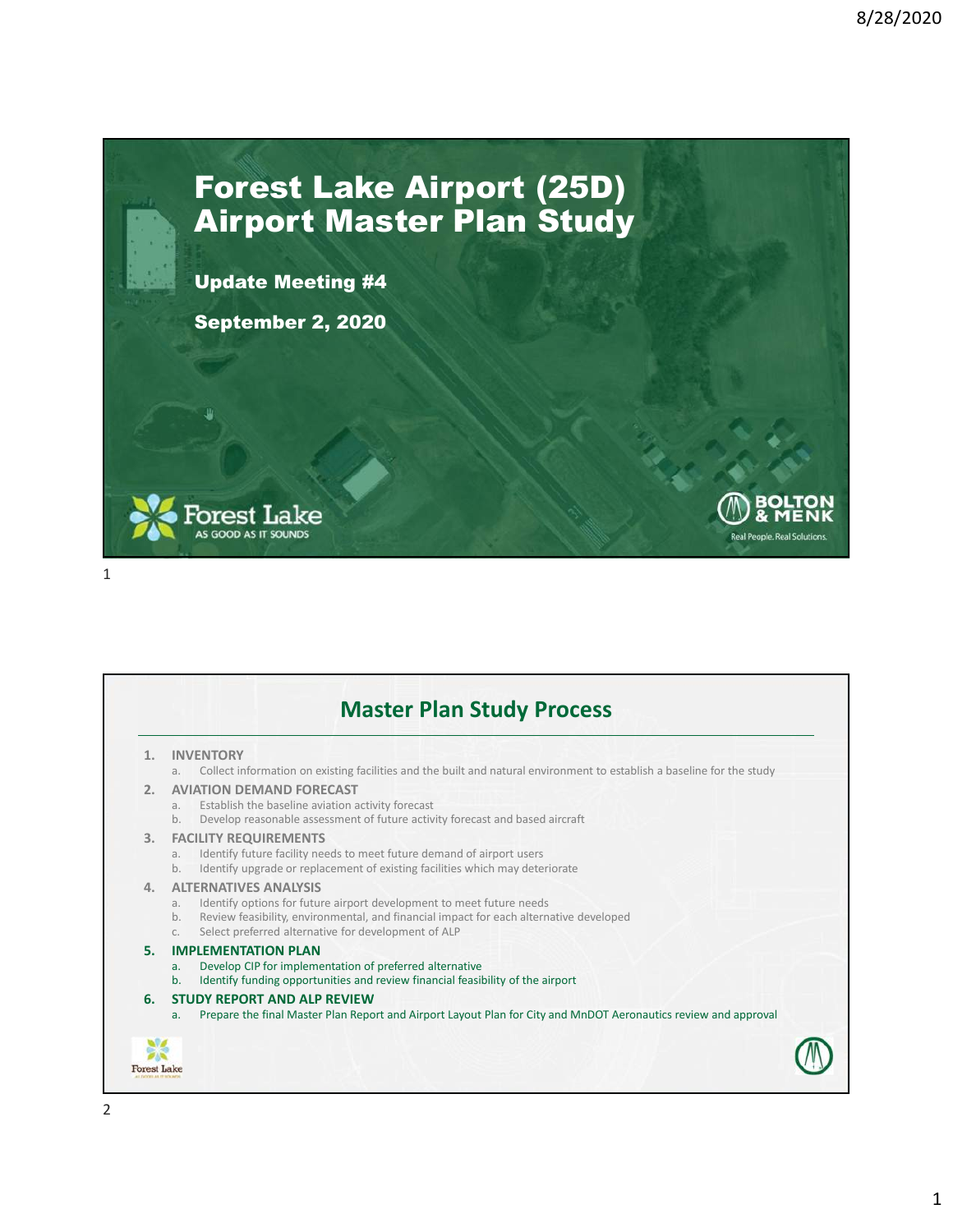Real People, Real Solutions

## Forest Lake Airport (25D) Airport Master Plan Study

Update Meeting #4

September 2, 2020



|                       | <b>INVENTORY</b><br>Collect information on existing facilities and the built and natural environment to establish a baseline for the study<br>a.                                                                                                                                    |
|-----------------------|-------------------------------------------------------------------------------------------------------------------------------------------------------------------------------------------------------------------------------------------------------------------------------------|
| $\mathcal{P}_{\cdot}$ | <b>AVIATION DEMAND FORECAST</b><br>Establish the baseline aviation activity forecast<br>a.<br>Develop reasonable assessment of future activity forecast and based aircraft<br>b.                                                                                                    |
| 3.                    | <b>FACILITY REQUIREMENTS</b><br>Identify future facility needs to meet future demand of airport users<br>a.<br>Identify upgrade or replacement of existing facilities which may deteriorate<br>b.                                                                                   |
| 4.                    | <b>ALTERNATIVES ANALYSIS</b><br>Identify options for future airport development to meet future needs<br>a.<br>Review feasibility, environmental, and financial impact for each alternative developed<br>b.<br>Select preferred alternative for development of ALP<br>C <sub>1</sub> |
| 5.                    | <b>IMPLEMENTATION PLAN</b><br>Develop CIP for implementation of preferred alternative<br>a.<br>Identify funding opportunities and review financial feasibility of the airport<br>b <sub>1</sub>                                                                                     |
| 6.                    | <b>STUDY REPORT AND ALP REVIEW</b><br>Prepare the final Master Plan Report and Airport Layout Plan for City and MnDOT Aeronautics review and approval<br>a.                                                                                                                         |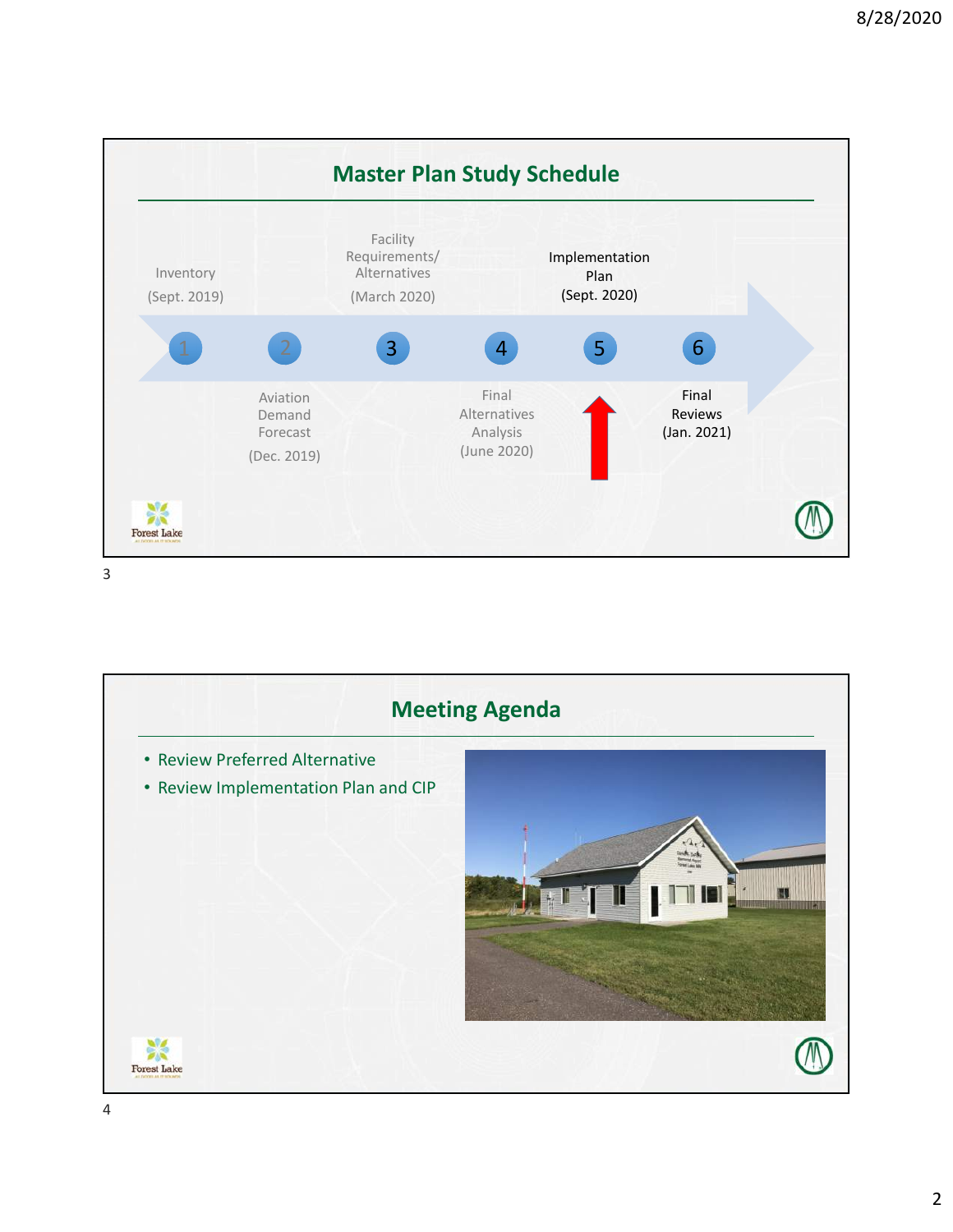

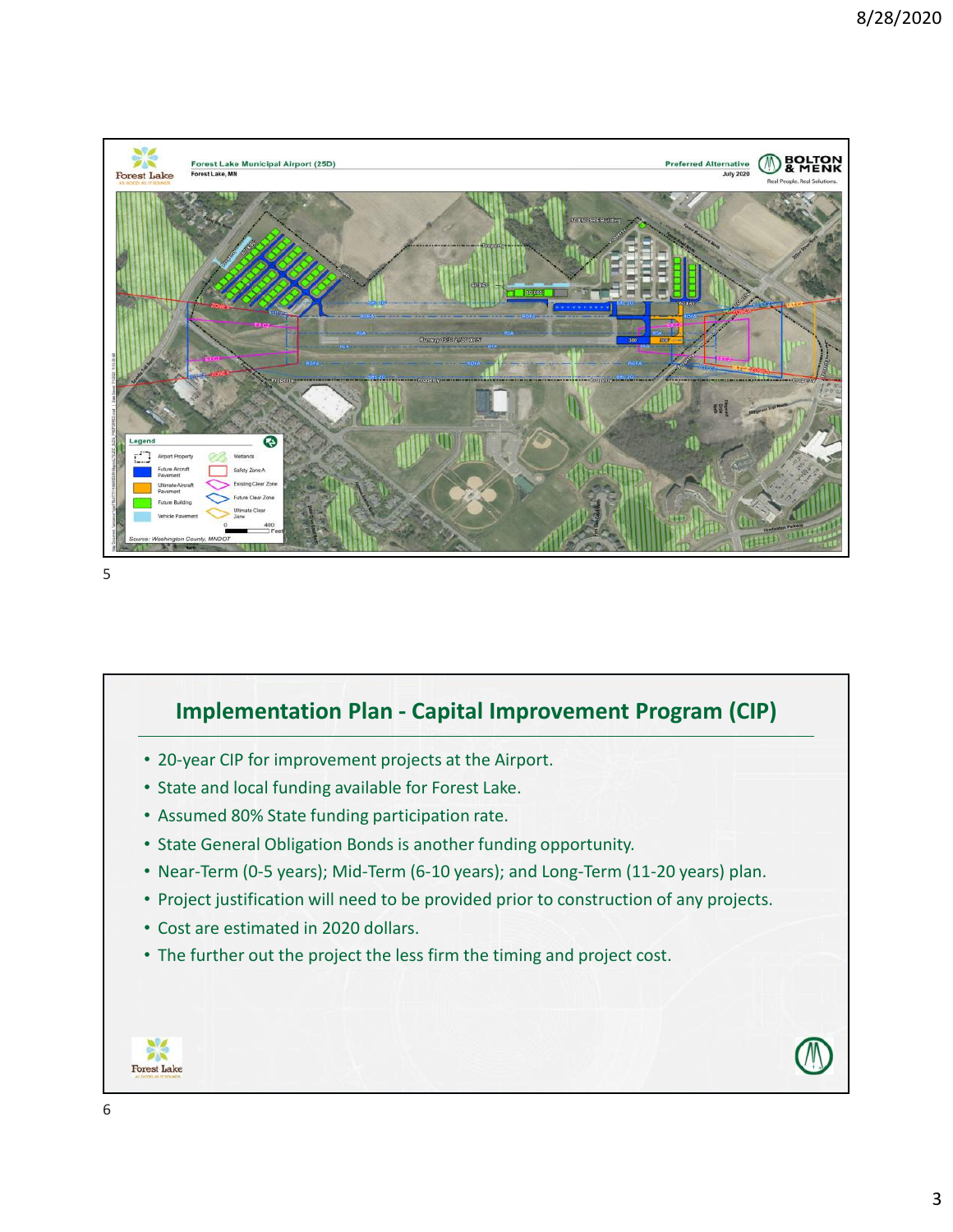



- 20-year CIP for improvement projects at the Airport.
- State and local funding available for Forest Lake.
- Assumed 80% State funding participation rate.
- State General Obligation Bonds is another funding opportunity.
- Near-Term (0-5 years); Mid-Term (6-10 years); and Long-Term (11-20 years) plan.
- Project justification will need to be provided prior to construction of any projects.
- Cost are estimated in 2020 dollars.
- The further out the project the less firm the timing and project cost.

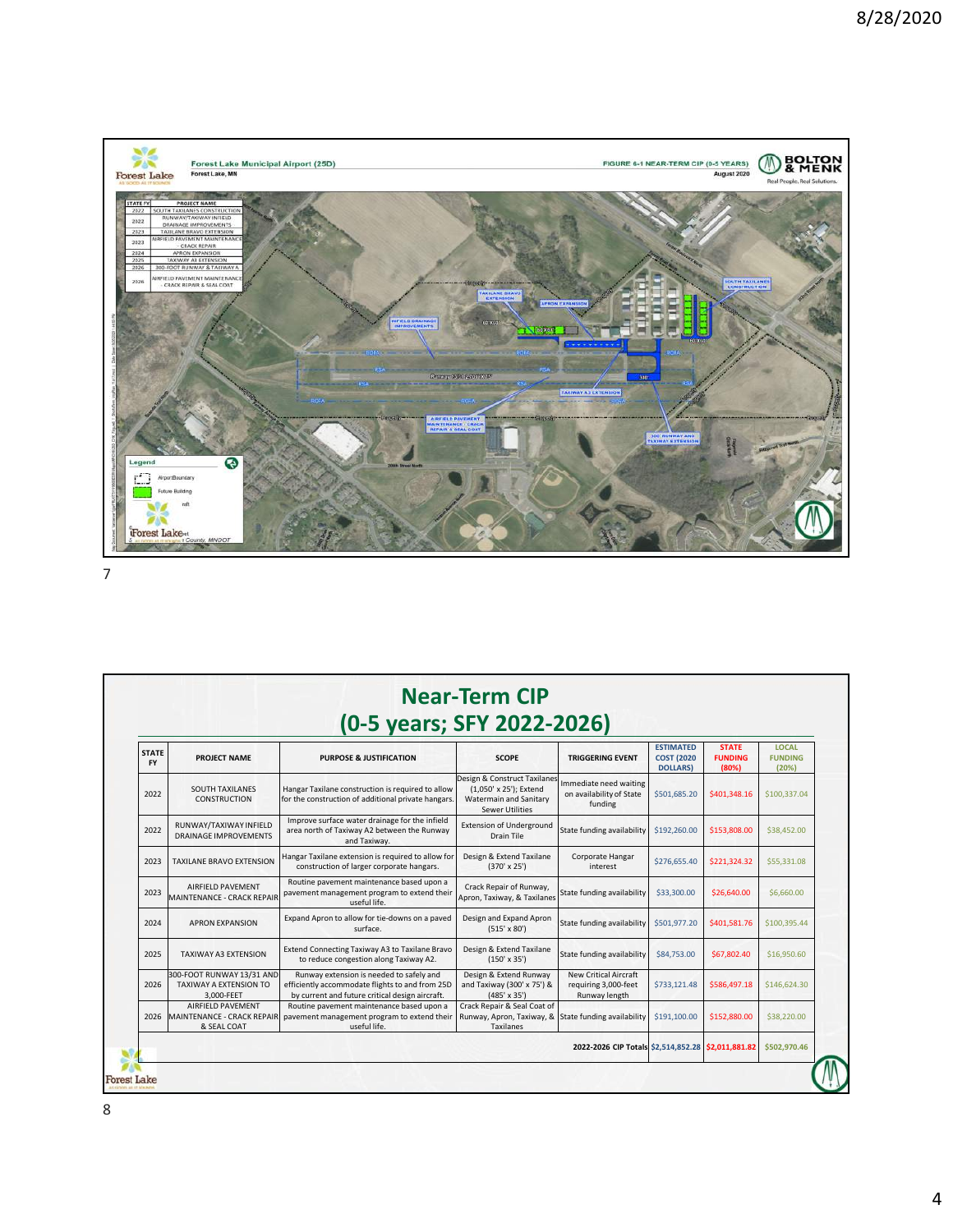

| <b>STATE</b><br><b>FY</b> | <b>PROJECT NAME</b>                                               | <b>PURPOSE &amp; JUSTIFICATION</b>                                                                                                             | <b>SCOPE</b>                                                                                                      | <b>TRIGGERING EVENT</b>                                               | <b>ESTIMATED</b><br><b>COST (2020)</b><br><b>DOLLARS)</b> | <b>STATE</b><br><b>FUNDING</b><br>(80%) | <b>LOCAL</b><br><b>FUNDING</b><br>(20%) |
|---------------------------|-------------------------------------------------------------------|------------------------------------------------------------------------------------------------------------------------------------------------|-------------------------------------------------------------------------------------------------------------------|-----------------------------------------------------------------------|-----------------------------------------------------------|-----------------------------------------|-----------------------------------------|
| 2022                      | <b>SOUTH TAXILANES</b><br><b>CONSTRUCTION</b>                     | Hangar Taxilane construction is required to allow<br>for the construction of additional private hangars.                                       | Design & Construct Taxilanes<br>(1.050' x 25'): Extend<br><b>Watermain and Sanitary</b><br><b>Sewer Utilities</b> | Immediate need waiting<br>on availability of State<br>funding         | \$501,685.20                                              | \$401,348.16                            | \$100,337.04                            |
| 2022                      | RUNWAY/TAXIWAY INFIELD<br><b>DRAINAGE IMPROVEMENTS</b>            | Improve surface water drainage for the infield<br>area north of Taxiway A2 between the Runway<br>and Taxiway.                                  | <b>Extension of Underground</b><br>Drain Tile                                                                     | State funding availability                                            | \$192,260.00                                              | \$153,808.00                            | \$38,452.00                             |
| 2023                      | <b>TAXILANE BRAVO EXTENSION</b>                                   | Hangar Taxilane extension is required to allow for<br>construction of larger corporate hangars.                                                | Design & Extend Taxilane<br>$(370' \times 25')$                                                                   | Corporate Hangar<br>interest                                          | \$276,655,40                                              | \$221,324.32                            | \$55,331.08                             |
| 2023                      | AIRFIELD PAVEMENT<br>MAINTENANCE - CRACK REPAIR                   | Routine pavement maintenance based upon a<br>pavement management program to extend their<br>useful life.                                       | Crack Repair of Runway,<br>Apron, Taxiway, & Taxilanes                                                            | State funding availability                                            | \$33,300.00                                               | \$26,640.00                             | \$6,660.00                              |
| 2024                      | <b>APRON EXPANSION</b>                                            | Expand Apron to allow for tie-downs on a paved<br>surface.                                                                                     | Design and Expand Apron<br>$(515' \times 80')$                                                                    | State funding availability                                            | \$501,977.20                                              | \$401,581.76                            | \$100,395.44                            |
| 2025                      | TAXIWAY A3 EXTENSION                                              | Extend Connecting Taxiway A3 to Taxilane Bravo<br>to reduce congestion along Taxiway A2.                                                       | Design & Extend Taxilane<br>$(150' \times 35')$                                                                   | State funding availability                                            | \$84,753.00                                               | \$67,802.40                             | \$16,950.60                             |
| 2026                      | 300-FOOT RUNWAY 13/31 AND<br>TAXIWAY A EXTENSION TO<br>3,000-FEET | Runway extension is needed to safely and<br>efficiently accommodate flights to and from 25D<br>by current and future critical design aircraft. | Design & Extend Runway<br>and Taxiway (300' x 75') &<br>$(485' \times 35')$                                       | <b>New Critical Aircraft</b><br>requiring 3,000-feet<br>Runway length | \$733,121.48                                              | \$586,497.18                            | \$146,624.30                            |
| 2026                      | AIRFIELD PAVEMENT<br>MAINTENANCE - CRACK REPAIR<br>& SEAL COAT    | Routine pavement maintenance based upon a<br>pavement management program to extend their<br>useful life.                                       | Crack Repair & Seal Coat of<br>Runway, Apron, Taxiway, & State funding availability<br>Taxilanes                  |                                                                       | \$191,100.00                                              | \$152,880.00                            | \$38,220.00                             |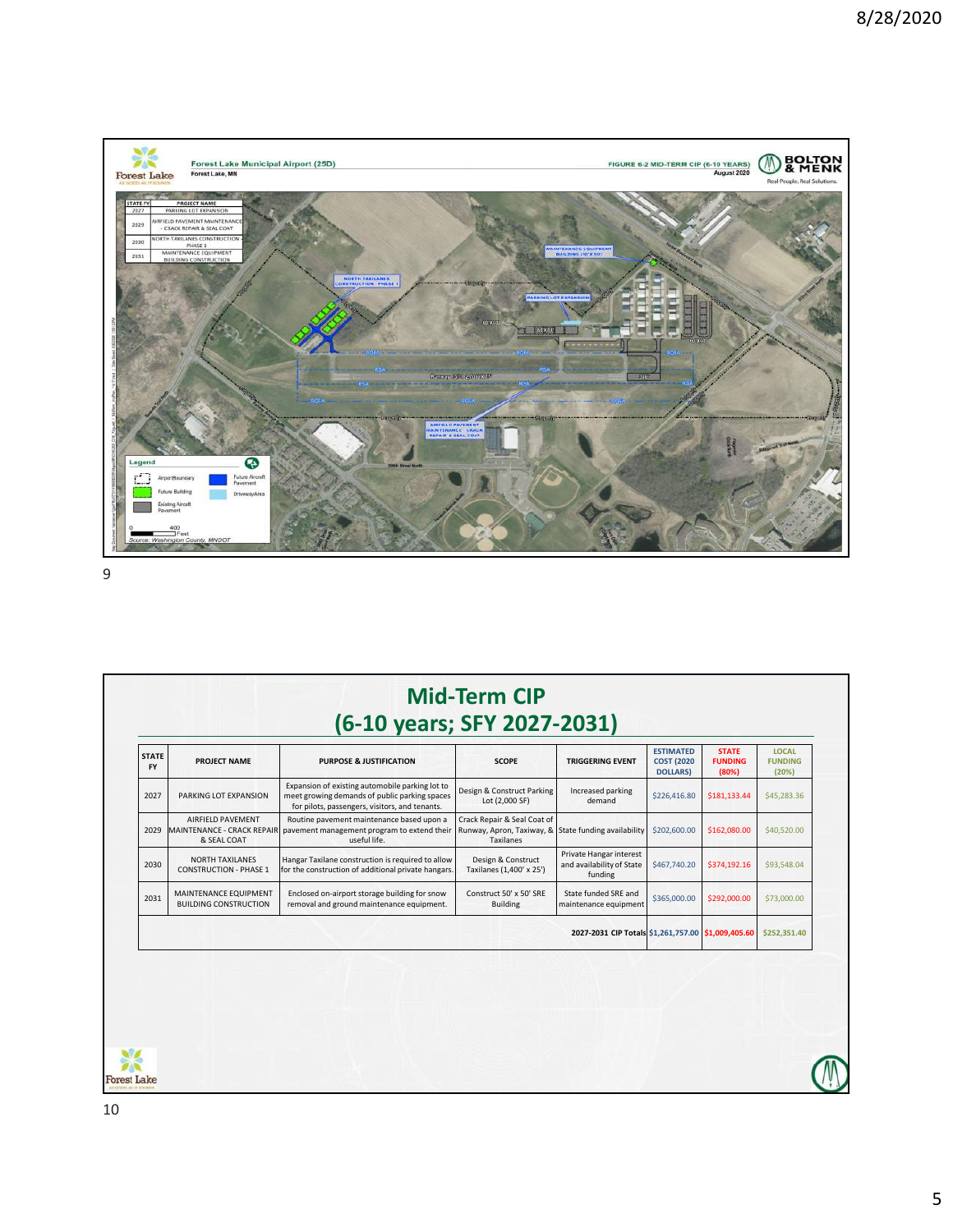

| <b>STATE</b><br><b>FY</b> | PROJECT NAME                                                   | <b>PURPOSE &amp; JUSTIFICATION</b>                                                                                                                 | <b>SCOPE</b>                                                                                     | <b>TRIGGERING EVENT</b>                                         | <b>ESTIMATED</b><br><b>COST (2020)</b><br><b>DOLLARS</b> | <b>STATE</b><br><b>FUNDING</b><br>(80%) | <b>LOCAL</b><br><b>FUNDING</b><br>(20%) |
|---------------------------|----------------------------------------------------------------|----------------------------------------------------------------------------------------------------------------------------------------------------|--------------------------------------------------------------------------------------------------|-----------------------------------------------------------------|----------------------------------------------------------|-----------------------------------------|-----------------------------------------|
| 2027                      | PARKING LOT EXPANSION                                          | Expansion of existing automobile parking lot to<br>meet growing demands of public parking spaces<br>for pilots, passengers, visitors, and tenants. | Design & Construct Parking<br>Lot (2,000 SF)                                                     | Increased parking<br>demand                                     | \$226,416.80                                             | \$181,133.44                            | \$45,283.36                             |
| 2029                      | AIRFIELD PAVEMENT<br>MAINTENANCE - CRACK REPAIR<br>& SEAL COAT | Routine pavement maintenance based upon a<br>pavement management program to extend their<br>useful life.                                           | Crack Repair & Seal Coat of<br>Runway, Apron, Taxiway, & State funding availability<br>Taxilanes |                                                                 | \$202,600.00                                             | \$162,080.00                            | \$40,520.00                             |
| 2030                      | <b>NORTH TAXILANES</b><br><b>CONSTRUCTION - PHASE 1</b>        | Hangar Taxilane construction is required to allow<br>for the construction of additional private hangars.                                           | Design & Construct<br>Taxilanes (1,400' x 25')                                                   | Private Hangar interest<br>and availability of State<br>funding | \$467,740.20                                             | \$374,192.16                            | \$93,548.04                             |
| 2031                      | MAINTENANCE EQUIPMENT<br><b>BUILDING CONSTRUCTION</b>          | Enclosed on-airport storage building for snow<br>removal and ground maintenance equipment.                                                         | Construct 50' x 50' SRE<br><b>Building</b>                                                       | State funded SRE and<br>maintenance equipment                   | \$365,000.00                                             | \$292,000.00                            | \$73,000.00                             |
|                           |                                                                |                                                                                                                                                    |                                                                                                  | 2027-2031 CIP Totals \$1,261,757.00 \$1,009,405.60              |                                                          |                                         | \$252,351.40                            |
|                           |                                                                |                                                                                                                                                    |                                                                                                  |                                                                 |                                                          |                                         |                                         |
|                           |                                                                |                                                                                                                                                    |                                                                                                  |                                                                 |                                                          |                                         |                                         |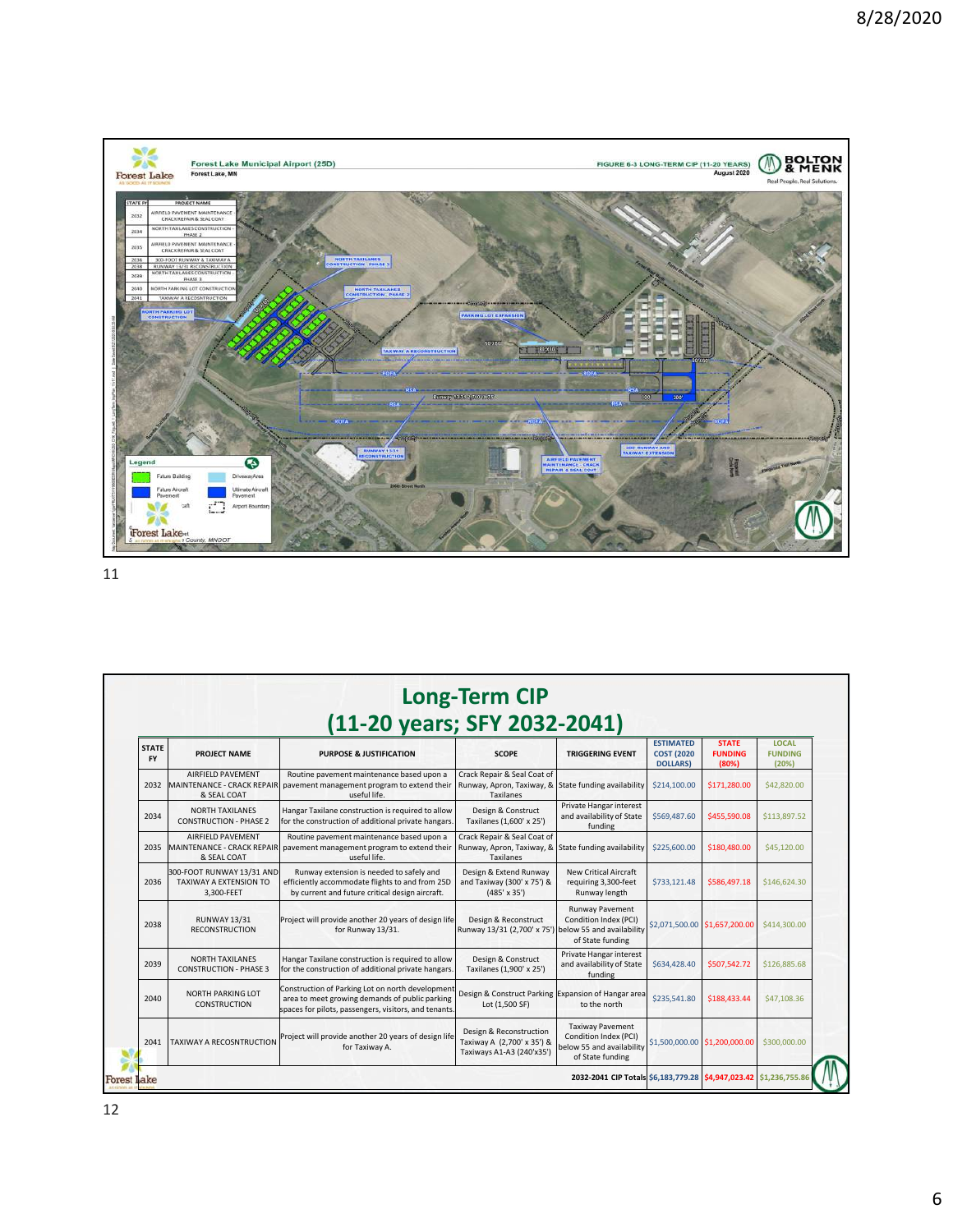

| <b>STATE</b><br><b>FY</b> | <b>PROJECT NAME</b>                                                     | <b>PURPOSE &amp; JUSTIFICATION</b>                                                                                                                          | <b>SCOPE</b>                                                                                            | <b>TRIGGERING EVENT</b>                                                       | <b>ESTIMATED</b><br><b>COST (2020)</b><br><b>DOLLARS</b> | <b>STATE</b><br><b>FUNDING</b><br>(80%) | <b>LOCAL</b><br><b>FUNDING</b><br>(20%) |
|---------------------------|-------------------------------------------------------------------------|-------------------------------------------------------------------------------------------------------------------------------------------------------------|---------------------------------------------------------------------------------------------------------|-------------------------------------------------------------------------------|----------------------------------------------------------|-----------------------------------------|-----------------------------------------|
| 2032                      | AIRFIELD PAVEMENT<br><b>IMAINTENANCE - CRACK REPAIRI</b><br>& SEAL COAT | Routine pavement maintenance based upon a<br>pavement management program to extend their<br>useful life.                                                    | Crack Repair & Seal Coat of<br>Runway, Apron, Taxiway, & State funding availability<br><b>Taxilanes</b> |                                                                               | \$214,100.00                                             | \$171,280.00                            | \$42,820.00                             |
| 2034                      | <b>NORTH TAXILANES</b><br><b>CONSTRUCTION - PHASE 2</b>                 | Hangar Taxilane construction is required to allow<br>for the construction of additional private hangars.                                                    | Design & Construct<br>Taxilanes (1,600' x 25')                                                          | Private Hangar interest<br>and availability of State<br>funding               | \$569,487.60                                             | \$455,590.08                            | \$113,897.52                            |
| 2035                      | AIRFIELD PAVEMENT<br>MAINTENANCE - CRACK REPAIR<br>& SEAL COAT          | Routine pavement maintenance based upon a<br>pavement management program to extend their<br>useful life.                                                    | Crack Repair & Seal Coat of<br>Runway, Apron, Taxiway, & State funding availability<br><b>Taxilanes</b> |                                                                               | \$225,600.00                                             | \$180,480.00                            | \$45,120,00                             |
| 2036                      | 300-FOOT RUNWAY 13/31 AND<br>TAXIWAY A EXTENSION TO<br>3.300-FEET       | Runway extension is needed to safely and<br>efficiently accommodate flights to and from 25D<br>by current and future critical design aircraft.              | Design & Extend Runway<br>and Taxiway (300' x 75') &<br>$(485' \times 35')$                             | New Critical Aircraft<br>requiring 3,300-feet<br>Runway length                | \$733,121.48                                             | \$586,497.18                            | \$146,624.30                            |
| 2038                      | <b>RUNWAY 13/31</b><br><b>RECONSTRUCTION</b>                            | Project will provide another 20 years of design life<br>for Runway 13/31.                                                                                   | Design & Reconstruct<br>Runway 13/31 (2,700' x 75') below 55 and availability                           | <b>Runway Pavement</b><br>Condition Index (PCI)<br>of State funding           |                                                          | \$2,071,500.00 \$1,657,200.00           | \$414,300,00                            |
| 2039                      | <b>NORTH TAXILANES</b><br><b>CONSTRUCTION - PHASE 3</b>                 | Hangar Taxilane construction is required to allow<br>for the construction of additional private hangars.                                                    | Design & Construct<br>Taxilanes (1,900' x 25')                                                          | Private Hangar interest<br>and availability of State<br>funding               | \$634,428.40                                             | \$507,542.72                            | \$126,885.68                            |
| 2040                      | <b>NORTH PARKING LOT</b><br><b>CONSTRUCTION</b>                         | Construction of Parking Lot on north development<br>area to meet growing demands of public parking<br>spaces for pilots, passengers, visitors, and tenants. | Design & Construct Parking Expansion of Hangar area<br>Lot (1,500 SF)                                   | to the north                                                                  | \$235,541.80                                             | \$188,433.44                            | \$47,108.36                             |
| 2041                      | <b>TAXIWAY A RECOSNTRUCTION</b>                                         | Project will provide another 20 years of design life<br>for Taxiway A.                                                                                      | Design & Reconstruction<br>Taxiway A (2,700' x 35') &<br>Taxiways A1-A3 (240'x35')                      | <b>Taxiway Pavement</b><br>Condition Index (PCI)<br>below 55 and availability |                                                          | \$1,500,000.00 \$1,200,000.00           | \$300,000.00                            |